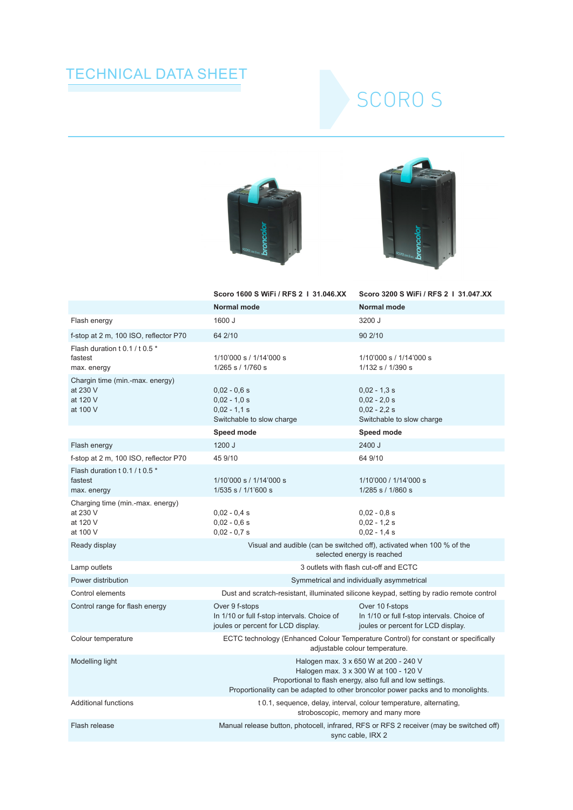## TECHNICAL DATA SHEET

## SCORO S





|                                                                      | Scoro 1600 S WiFi / RFS 2   31.046.XX                                                                                                                                                                                           | Scoro 3200 S WiFi / RFS 2   31.047.XX                                                                |
|----------------------------------------------------------------------|---------------------------------------------------------------------------------------------------------------------------------------------------------------------------------------------------------------------------------|------------------------------------------------------------------------------------------------------|
|                                                                      | Normal mode                                                                                                                                                                                                                     | Normal mode                                                                                          |
| Flash energy                                                         | 1600 J                                                                                                                                                                                                                          | 3200 J                                                                                               |
| f-stop at 2 m, 100 ISO, reflector P70                                | 64 2/10                                                                                                                                                                                                                         | 90 2/10                                                                                              |
| Flash duration t 0.1 / t 0.5 *<br>fastest<br>max. energy             | 1/10'000 s / 1/14'000 s<br>1/265 s / 1/760 s                                                                                                                                                                                    | 1/10'000 s / 1/14'000 s<br>1/132 s / 1/390 s                                                         |
| Chargin time (min.-max. energy)<br>at 230 V<br>at 120 V<br>at 100 V  | $0,02 - 0,6 s$<br>$0,02 - 1,0 s$<br>$0,02 - 1,1$ s<br>Switchable to slow charge                                                                                                                                                 | $0,02 - 1,3$ s<br>$0,02 - 2,0 s$<br>$0,02 - 2,2 s$<br>Switchable to slow charge                      |
|                                                                      | Speed mode                                                                                                                                                                                                                      | Speed mode                                                                                           |
| Flash energy                                                         | 1200 J                                                                                                                                                                                                                          | 2400 J                                                                                               |
| f-stop at 2 m, 100 ISO, reflector P70                                | 45 9/10                                                                                                                                                                                                                         | 64 9/10                                                                                              |
| Flash duration t 0.1 / t 0.5 *<br>fastest<br>max. energy             | 1/10'000 s / 1/14'000 s<br>1/535 s / 1/1'600 s                                                                                                                                                                                  | 1/10'000 / 1/14'000 s<br>1/285 s / 1/860 s                                                           |
| Charging time (min.-max. energy)<br>at 230 V<br>at 120 V<br>at 100 V | $0,02 - 0,4$ s<br>$0,02 - 0,6 s$<br>$0,02 - 0,7 s$                                                                                                                                                                              | $0,02 - 0,8$ s<br>$0.02 - 1.2$ s<br>$0.02 - 1.4$ s                                                   |
| Ready display                                                        | Visual and audible (can be switched off), activated when 100 % of the<br>selected energy is reached                                                                                                                             |                                                                                                      |
| Lamp outlets                                                         | 3 outlets with flash cut-off and ECTC                                                                                                                                                                                           |                                                                                                      |
| Power distribution                                                   | Symmetrical and individually asymmetrical                                                                                                                                                                                       |                                                                                                      |
| Control elements                                                     | Dust and scratch-resistant, illuminated silicone keypad, setting by radio remote control                                                                                                                                        |                                                                                                      |
| Control range for flash energy                                       | Over 9 f-stops<br>In 1/10 or full f-stop intervals. Choice of<br>joules or percent for LCD display.                                                                                                                             | Over 10 f-stops<br>In 1/10 or full f-stop intervals. Choice of<br>joules or percent for LCD display. |
| Colour temperature                                                   | ECTC technology (Enhanced Colour Temperature Control) for constant or specifically<br>adjustable colour temperature.                                                                                                            |                                                                                                      |
| Modelling light                                                      | Halogen max. 3 x 650 W at 200 - 240 V<br>Halogen max. 3 x 300 W at 100 - 120 V<br>Proportional to flash energy, also full and low settings.<br>Proportionality can be adapted to other broncolor power packs and to monolights. |                                                                                                      |
| <b>Additional functions</b>                                          | t 0.1, sequence, delay, interval, colour temperature, alternating,<br>stroboscopic, memory and many more                                                                                                                        |                                                                                                      |
| Flash release                                                        | Manual release button, photocell, infrared, RFS or RFS 2 receiver (may be switched off)<br>sync cable, IRX 2                                                                                                                    |                                                                                                      |